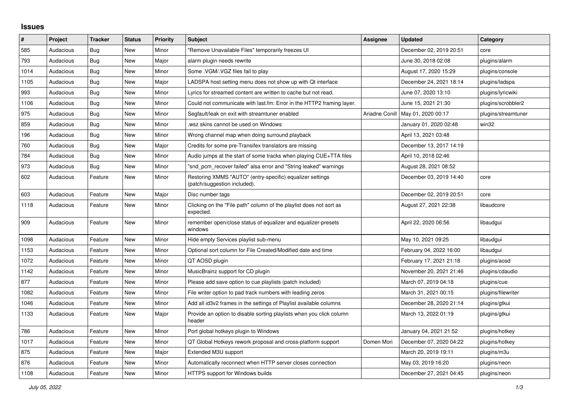## **Issues**

| $\vert$ # | Project   | <b>Tracker</b> | <b>Status</b> | <b>Priority</b> | <b>Subject</b>                                                                            | <b>Assignee</b> | <b>Updated</b>          | Category            |
|-----------|-----------|----------------|---------------|-----------------|-------------------------------------------------------------------------------------------|-----------------|-------------------------|---------------------|
| 585       | Audacious | Bug            | <b>New</b>    | Minor           | "Remove Unavailable Files" temporarily freezes UI                                         |                 | December 02, 2019 20:51 | core                |
| 793       | Audacious | Bug            | <b>New</b>    | Major           | alarm plugin needs rewrite                                                                |                 | June 30, 2018 02:08     | plugins/alarm       |
| 1014      | Audacious | Bug            | <b>New</b>    | Minor           | Some .VGM/.VGZ files fail to play                                                         |                 | August 17, 2020 15:29   | plugins/console     |
| 1105      | Audacious | <b>Bug</b>     | <b>New</b>    | Major           | LADSPA host setting menu does not show up with Qt interface                               |                 | December 24, 2021 18:14 | plugins/ladspa      |
| 993       | Audacious | Bug            | New           | Minor           | Lyrics for streamed content are written to cache but not read.                            |                 | June 07, 2020 13:10     | plugins/lyricwiki   |
| 1106      | Audacious | Bug            | New           | Minor           | Could not communicate with last.fm: Error in the HTTP2 framing layer.                     |                 | June 15, 2021 21:30     | plugins/scrobbler2  |
| 975       | Audacious | <b>Bug</b>     | <b>New</b>    | Minor           | Segfault/leak on exit with streamtuner enabled                                            | Ariadne Conill  | May 01, 2020 00:17      | plugins/streamtuner |
| 859       | Audacious | <b>Bug</b>     | <b>New</b>    | Minor           | wsz skins cannot be used on Windows                                                       |                 | January 01, 2020 02:48  | win32               |
| 196       | Audacious | Bug            | <b>New</b>    | Minor           | Wrong channel map when doing surround playback                                            |                 | April 13, 2021 03:48    |                     |
| 760       | Audacious | Bug            | <b>New</b>    | Major           | Credits for some pre-Transifex translators are missing                                    |                 | December 13, 2017 14:19 |                     |
| 784       | Audacious | Bug            | <b>New</b>    | Minor           | Audio jumps at the start of some tracks when playing CUE+TTA files                        |                 | April 10, 2018 02:46    |                     |
| 973       | Audacious | Bug            | <b>New</b>    | Minor           | "snd pcm recover failed" alsa error and "String leaked" warnings                          |                 | August 28, 2021 08:52   |                     |
| 602       | Audacious | Feature        | New           | Minor           | Restoring XMMS "AUTO" (entry-specific) equalizer settings<br>(patch/suggestion included). |                 | December 03, 2019 14:40 | core                |
| 603       | Audacious | Feature        | <b>New</b>    | Major           | Disc number tags                                                                          |                 | December 02, 2019 20:51 | core                |
| 1118      | Audacious | Feature        | New           | Minor           | Clicking on the "File path" column of the playlist does not sort as<br>expected.          |                 | August 27, 2021 22:38   | libaudcore          |
| 909       | Audacious | Feature        | New           | Minor           | remember open/close status of equalizer and equalizer-presets<br>windows                  |                 | April 22, 2020 06:56    | libaudgui           |
| 1098      | Audacious | Feature        | <b>New</b>    | Minor           | Hide empty Services playlist sub-menu                                                     |                 | May 10, 2021 09:25      | libaudgui           |
| 1153      | Audacious | Feature        | New           | Minor           | Optional sort column for File Created/Modified date and time                              |                 | February 04, 2022 16:00 | libaudgui           |
| 1072      | Audacious | Feature        | <b>New</b>    | Minor           | QT AOSD plugin                                                                            |                 | February 17, 2021 21:18 | plugins/aosd        |
| 1142      | Audacious | Feature        | <b>New</b>    | Minor           | MusicBrainz support for CD plugin                                                         |                 | November 20, 2021 21:46 | plugins/cdaudio     |
| 877       | Audacious | Feature        | <b>New</b>    | Minor           | Please add save option to cue playlists (patch included)                                  |                 | March 07, 2019 04:18    | plugins/cue         |
| 1082      | Audacious | Feature        | <b>New</b>    | Minor           | File writer option to pad track numbers with leading zeros                                |                 | March 31, 2021 00:15    | plugins/filewriter  |
| 1046      | Audacious | Feature        | <b>New</b>    | Minor           | Add all id3v2 frames in the settings of Playlist available columns                        |                 | December 28, 2020 21:14 | plugins/gtkui       |
| 1133      | Audacious | Feature        | New           | Major           | Provide an option to disable sorting playlists when you click column<br>header            |                 | March 13, 2022 01:19    | plugins/gtkui       |
| 786       | Audacious | Feature        | New           | Minor           | Port global hotkeys plugin to Windows                                                     |                 | January 04, 2021 21:52  | plugins/hotkey      |
| 1017      | Audacious | Feature        | <b>New</b>    | Minor           | QT Global Hotkeys rework proposal and cross-platform support                              | Domen Mori      | December 07, 2020 04:22 | plugins/hotkey      |
| 875       | Audacious | Feature        | New           | Major           | Extended M3U support                                                                      |                 | March 20, 2019 19:11    | plugins/m3u         |
| 876       | Audacious | Feature        | <b>New</b>    | Minor           | Automatically reconnect when HTTP server closes connection                                |                 | May 03, 2019 16:20      | plugins/neon        |
| 1108      | Audacious | Feature        | New           | Minor           | HTTPS support for Windows builds                                                          |                 | December 27, 2021 04:45 | plugins/neon        |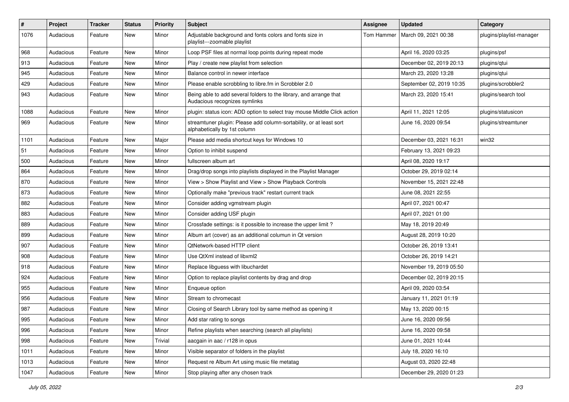| $\vert$ # | Project   | <b>Tracker</b> | <b>Status</b> | <b>Priority</b> | Subject                                                                                             | <b>Assignee</b>   | <b>Updated</b>           | Category                 |
|-----------|-----------|----------------|---------------|-----------------|-----------------------------------------------------------------------------------------------------|-------------------|--------------------------|--------------------------|
| 1076      | Audacious | Feature        | New           | Minor           | Adjustable background and fonts colors and fonts size in<br>playlist---zoomable playlist            | <b>Tom Hammer</b> | March 09, 2021 00:38     | plugins/playlist-manager |
| 968       | Audacious | Feature        | <b>New</b>    | Minor           | Loop PSF files at normal loop points during repeat mode                                             |                   | April 16, 2020 03:25     | plugins/psf              |
| 913       | Audacious | Feature        | New           | Minor           | Play / create new playlist from selection                                                           |                   | December 02, 2019 20:13  | plugins/qtui             |
| 945       | Audacious | Feature        | <b>New</b>    | Minor           | Balance control in newer interface                                                                  |                   | March 23, 2020 13:28     | plugins/qtui             |
| 429       | Audacious | Feature        | New           | Minor           | Please enable scrobbling to libre.fm in Scrobbler 2.0                                               |                   | September 02, 2019 10:35 | plugins/scrobbler2       |
| 943       | Audacious | Feature        | <b>New</b>    | Minor           | Being able to add several folders to the library, and arrange that<br>Audacious recognizes symlinks |                   | March 23, 2020 15:41     | plugins/search tool      |
| 1088      | Audacious | Feature        | <b>New</b>    | Minor           | plugin: status icon: ADD option to select tray mouse Middle Click action                            |                   | April 11, 2021 12:05     | plugins/statusicon       |
| 969       | Audacious | Feature        | New           | Minor           | streamtuner plugin: Please add column-sortability, or at least sort<br>alphabetically by 1st column |                   | June 16, 2020 09:54      | plugins/streamtuner      |
| 1101      | Audacious | Feature        | New           | Major           | Please add media shortcut keys for Windows 10                                                       |                   | December 03, 2021 16:31  | win32                    |
| 51        | Audacious | Feature        | <b>New</b>    | Minor           | Option to inhibit suspend                                                                           |                   | February 13, 2021 09:23  |                          |
| 500       | Audacious | Feature        | New           | Minor           | fullscreen album art                                                                                |                   | April 08, 2020 19:17     |                          |
| 864       | Audacious | Feature        | <b>New</b>    | Minor           | Drag/drop songs into playlists displayed in the Playlist Manager                                    |                   | October 29, 2019 02:14   |                          |
| 870       | Audacious | Feature        | New           | Minor           | View > Show Playlist and View > Show Playback Controls                                              |                   | November 15, 2021 22:48  |                          |
| 873       | Audacious | Feature        | New           | Minor           | Optionally make "previous track" restart current track                                              |                   | June 08, 2021 22:55      |                          |
| 882       | Audacious | Feature        | <b>New</b>    | Minor           | Consider adding vgmstream plugin                                                                    |                   | April 07, 2021 00:47     |                          |
| 883       | Audacious | Feature        | New           | Minor           | Consider adding USF plugin                                                                          |                   | April 07, 2021 01:00     |                          |
| 889       | Audacious | Feature        | New           | Minor           | Crossfade settings: is it possible to increase the upper limit?                                     |                   | May 18, 2019 20:49       |                          |
| 899       | Audacious | Feature        | New           | Minor           | Album art (cover) as an additional columun in Qt version                                            |                   | August 28, 2019 10:20    |                          |
| 907       | Audacious | Feature        | New           | Minor           | QtNetwork-based HTTP client                                                                         |                   | October 26, 2019 13:41   |                          |
| 908       | Audacious | Feature        | <b>New</b>    | Minor           | Use QtXml instead of libxml2                                                                        |                   | October 26, 2019 14:21   |                          |
| 918       | Audacious | Feature        | <b>New</b>    | Minor           | Replace libguess with libuchardet                                                                   |                   | November 19, 2019 05:50  |                          |
| 924       | Audacious | Feature        | New           | Minor           | Option to replace playlist contents by drag and drop                                                |                   | December 02, 2019 20:15  |                          |
| 955       | Audacious | Feature        | <b>New</b>    | Minor           | Enqueue option                                                                                      |                   | April 09, 2020 03:54     |                          |
| 956       | Audacious | Feature        | New           | Minor           | Stream to chromecast                                                                                |                   | January 11, 2021 01:19   |                          |
| 987       | Audacious | Feature        | New           | Minor           | Closing of Search Library tool by same method as opening it                                         |                   | May 13, 2020 00:15       |                          |
| 995       | Audacious | Feature        | New           | Minor           | Add star rating to songs                                                                            |                   | June 16, 2020 09:56      |                          |
| 996       | Audacious | Feature        | New           | Minor           | Refine playlists when searching (search all playlists)                                              |                   | June 16, 2020 09:58      |                          |
| 998       | Audacious | Feature        | New           | Trivial         | aacgain in aac / r128 in opus                                                                       |                   | June 01, 2021 10:44      |                          |
| 1011      | Audacious | Feature        | New           | Minor           | Visible separator of folders in the playlist                                                        |                   | July 18, 2020 16:10      |                          |
| 1013      | Audacious | Feature        | New           | Minor           | Request re Album Art using music file metatag                                                       |                   | August 03, 2020 22:48    |                          |
| 1047      | Audacious | Feature        | New           | Minor           | Stop playing after any chosen track                                                                 |                   | December 29, 2020 01:23  |                          |